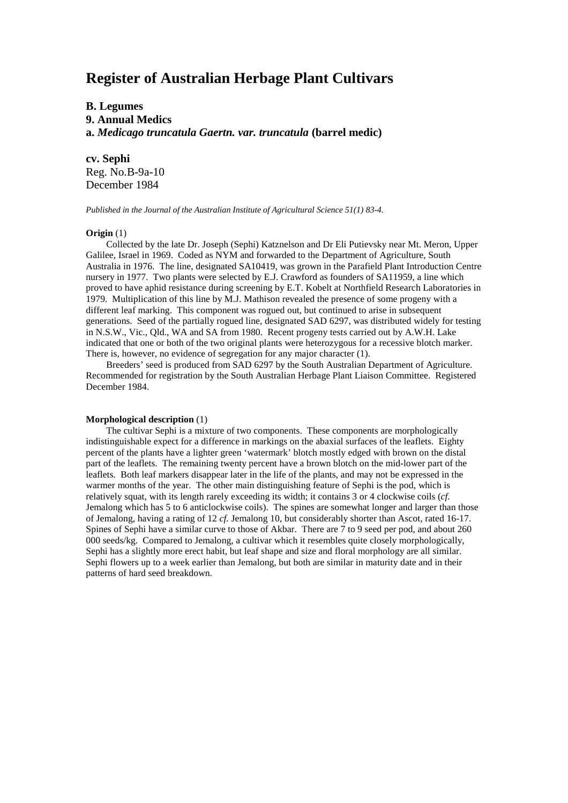# **Register of Australian Herbage Plant Cultivars**

# **B. Legumes 9. Annual Medics a.** *Medicago truncatula Gaertn. var. truncatula* **(barrel medic)**

**cv. Sephi** Reg. No.B-9a-10 December 1984

*Published in the Journal of the Australian Institute of Agricultural Science 51(1) 83-4.*

#### **Origin** (1)

Collected by the late Dr. Joseph (Sephi) Katznelson and Dr Eli Putievsky near Mt. Meron, Upper Galilee, Israel in 1969. Coded as NYM and forwarded to the Department of Agriculture, South Australia in 1976. The line, designated SA10419, was grown in the Parafield Plant Introduction Centre nursery in 1977. Two plants were selected by E.J. Crawford as founders of SA11959, a line which proved to have aphid resistance during screening by E.T. Kobelt at Northfield Research Laboratories in 1979. Multiplication of this line by M.J. Mathison revealed the presence of some progeny with a different leaf marking. This component was rogued out, but continued to arise in subsequent generations. Seed of the partially rogued line, designated SAD 6297, was distributed widely for testing in N.S.W., Vic., Qld., WA and SA from 1980. Recent progeny tests carried out by A.W.H. Lake indicated that one or both of the two original plants were heterozygous for a recessive blotch marker. There is, however, no evidence of segregation for any major character (1).

Breeders' seed is produced from SAD 6297 by the South Australian Department of Agriculture. Recommended for registration by the South Australian Herbage Plant Liaison Committee. Registered December 1984.

#### **Morphological description** (1)

The cultivar Sephi is a mixture of two components. These components are morphologically indistinguishable expect for a difference in markings on the abaxial surfaces of the leaflets. Eighty percent of the plants have a lighter green 'watermark' blotch mostly edged with brown on the distal part of the leaflets. The remaining twenty percent have a brown blotch on the mid-lower part of the leaflets. Both leaf markers disappear later in the life of the plants, and may not be expressed in the warmer months of the year. The other main distinguishing feature of Sephi is the pod, which is relatively squat, with its length rarely exceeding its width; it contains 3 or 4 clockwise coils (*cf.* Jemalong which has 5 to 6 anticlockwise coils). The spines are somewhat longer and larger than those of Jemalong, having a rating of 12 *cf.* Jemalong 10, but considerably shorter than Ascot, rated 16-17. Spines of Sephi have a similar curve to those of Akbar. There are 7 to 9 seed per pod, and about 260 000 seeds/kg. Compared to Jemalong, a cultivar which it resembles quite closely morphologically, Sephi has a slightly more erect habit, but leaf shape and size and floral morphology are all similar. Sephi flowers up to a week earlier than Jemalong, but both are similar in maturity date and in their patterns of hard seed breakdown.